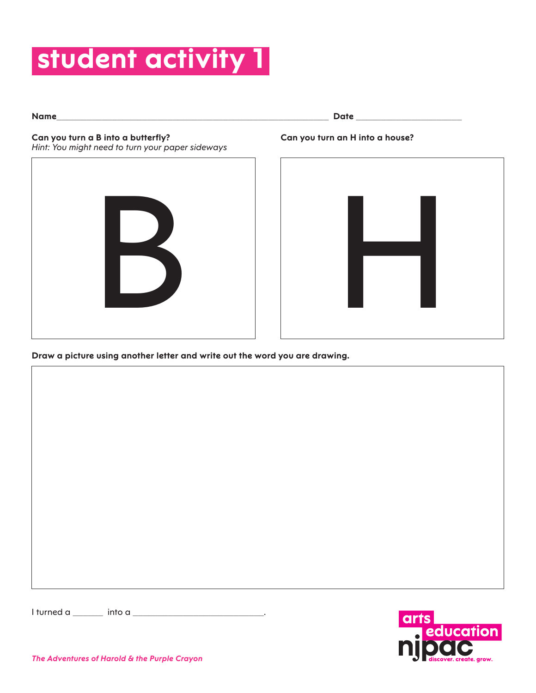# **student activity 1**

**Name**\_\_\_\_\_\_\_\_\_\_\_\_\_\_\_\_\_\_\_\_\_\_\_\_\_\_\_\_\_\_\_\_\_\_\_\_\_\_\_\_\_\_\_\_\_\_\_\_\_\_\_\_\_\_ **Date** \_\_\_\_\_\_\_\_\_\_\_\_\_\_\_\_\_\_\_\_\_

**Can you turn an H into a house?**

### **Can you turn a B into a butterfly?**

*Hint: You might need to turn your paper sideways*





**Draw a picture using another letter and write out the word you are drawing.**

I turned a \_\_\_\_\_\_ into a \_\_\_\_\_\_\_\_\_\_\_\_\_\_\_\_\_\_\_\_\_\_\_\_\_\_.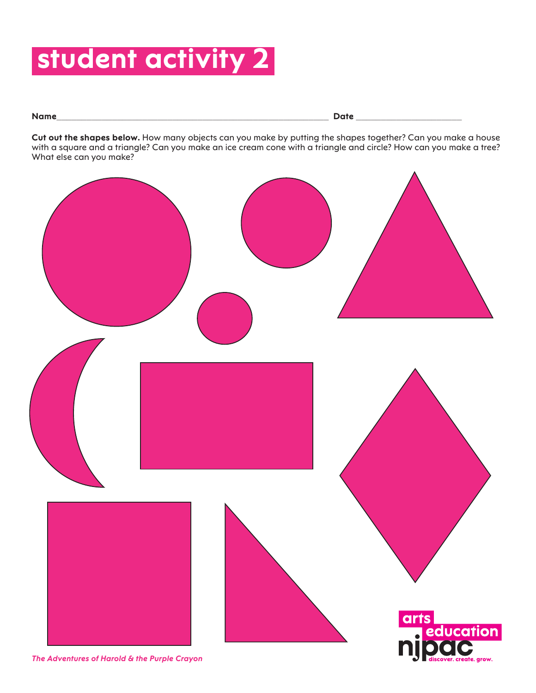## **student activity 2**

**Name**\_\_\_\_\_\_\_\_\_\_\_\_\_\_\_\_\_\_\_\_\_\_\_\_\_\_\_\_\_\_\_\_\_\_\_\_\_\_\_\_\_\_\_\_\_\_\_\_\_\_\_\_\_\_ **Date** \_\_\_\_\_\_\_\_\_\_\_\_\_\_\_\_\_\_\_\_\_

**Cut out the shapes below.** How many objects can you make by putting the shapes together? Can you make a house with a square and a triangle? Can you make an ice cream cone with a triangle and circle? How can you make a tree? What else can you make?